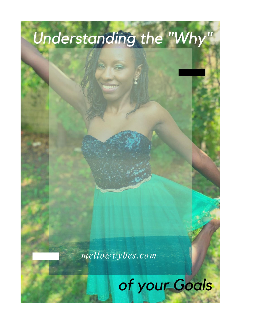

mellowvybes.com

## of your Goals